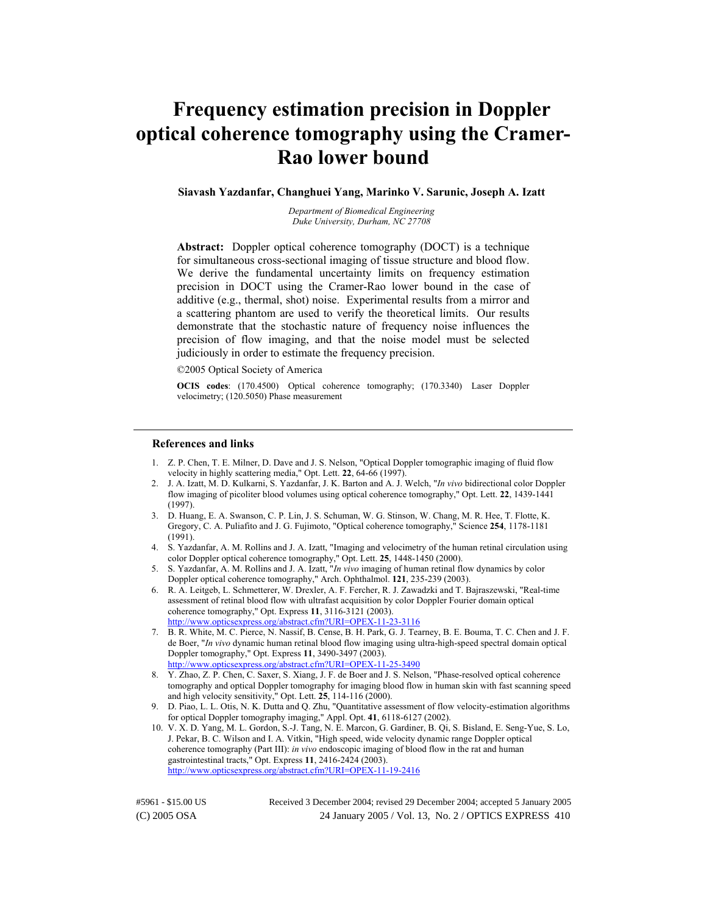# **Frequency estimation precision in Doppler optical coherence tomography using the Cramer-Rao lower bound**

#### **Siavash Yazdanfar, Changhuei Yang, Marinko V. Sarunic, Joseph A. Izatt**

*Department of Biomedical Engineering Duke University, Durham, NC 27708* 

**Abstract:** Doppler optical coherence tomography (DOCT) is a technique for simultaneous cross-sectional imaging of tissue structure and blood flow. We derive the fundamental uncertainty limits on frequency estimation precision in DOCT using the Cramer-Rao lower bound in the case of additive (e.g., thermal, shot) noise. Experimental results from a mirror and a scattering phantom are used to verify the theoretical limits. Our results demonstrate that the stochastic nature of frequency noise influences the precision of flow imaging, and that the noise model must be selected judiciously in order to estimate the frequency precision.

©2005 Optical Society of America

**OCIS codes**: (170.4500) Optical coherence tomography; (170.3340) Laser Doppler velocimetry; (120.5050) Phase measurement

#### **References and links**

- 1. Z. P. Chen, T. E. Milner, D. Dave and J. S. Nelson, "Optical Doppler tomographic imaging of fluid flow velocity in highly scattering media," Opt. Lett. **22**, 64-66 (1997).
- 2. J. A. Izatt, M. D. Kulkarni, S. Yazdanfar, J. K. Barton and A. J. Welch, "*In vivo* bidirectional color Doppler flow imaging of picoliter blood volumes using optical coherence tomography," Opt. Lett. **22**, 1439-1441 (1997).
- 3. D. Huang, E. A. Swanson, C. P. Lin, J. S. Schuman, W. G. Stinson, W. Chang, M. R. Hee, T. Flotte, K. Gregory, C. A. Puliafito and J. G. Fujimoto, "Optical coherence tomography," Science **254**, 1178-1181 (1991).
- 4. S. Yazdanfar, A. M. Rollins and J. A. Izatt, "Imaging and velocimetry of the human retinal circulation using color Doppler optical coherence tomography," Opt. Lett. **25**, 1448-1450 (2000).
- 5. S. Yazdanfar, A. M. Rollins and J. A. Izatt, "*In vivo* imaging of human retinal flow dynamics by color Doppler optical coherence tomography," Arch. Ophthalmol. **121**, 235-239 (2003).
- 6. R. A. Leitgeb, L. Schmetterer, W. Drexler, A. F. Fercher, R. J. Zawadzki and T. Bajraszewski, "Real-time assessment of retinal blood flow with ultrafast acquisition by color Doppler Fourier domain optical coherence tomography," Opt. Express **11**, 3116-3121 (2003). <http://www.opticsexpress.org/abstract.cfm?URI=OPEX-11-23-3116>
- 7. B. R. White, M. C. Pierce, N. Nassif, B. Cense, B. H. Park, G. J. Tearney, B. E. Bouma, T. C. Chen and J. F. de Boer, "*In vivo* dynamic human retinal blood flow imaging using ultra-high-speed spectral domain optical Doppler tomography," Opt. Express **11**, 3490-3497 (2003). <http://www.opticsexpress.org/abstract.cfm?URI=OPEX-11-25-3490>
- 8. Y. Zhao, Z. P. Chen, C. Saxer, S. Xiang, J. F. de Boer and J. S. Nelson, "Phase-resolved optical coherence tomography and optical Doppler tomography for imaging blood flow in human skin with fast scanning speed and high velocity sensitivity," Opt. Lett. **25**, 114-116 (2000).
- 9. D. Piao, L. L. Otis, N. K. Dutta and Q. Zhu, "Quantitative assessment of flow velocity-estimation algorithms for optical Doppler tomography imaging," Appl. Opt. **41**, 6118-6127 (2002).
- 10. V. X. D. Yang, M. L. Gordon, S.-J. Tang, N. E. Marcon, G. Gardiner, B. Qi, S. Bisland, E. Seng-Yue, S. Lo, J. Pekar, B. C. Wilson and I. A. Vitkin, "High speed, wide velocity dynamic range Doppler optical coherence tomography (Part III): *in vivo* endoscopic imaging of blood flow in the rat and human gastrointestinal tracts," Opt. Express **11**, 2416-2424 (2003). <http://www.opticsexpress.org/abstract.cfm?URI=OPEX-11-19-2416>

(C) 2005 OSA 24 January 2005 / Vol. 13, No. 2 / OPTICS EXPRESS 410 #5961 - \$15.00 US Received 3 December 2004; revised 29 December 2004; accepted 5 January 2005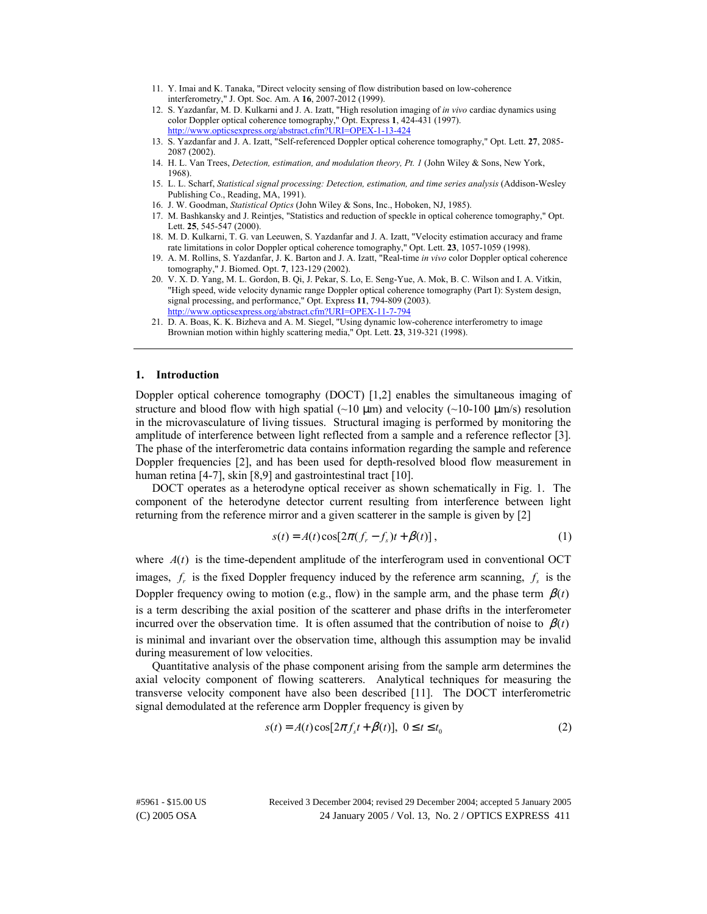- 11. Y. Imai and K. Tanaka, "Direct velocity sensing of flow distribution based on low-coherence interferometry," J. Opt. Soc. Am. A **16**, 2007-2012 (1999).
- 12. S. Yazdanfar, M. D. Kulkarni and J. A. Izatt, "High resolution imaging of *in vivo* cardiac dynamics using color Doppler optical coherence tomography," Opt. Express **1**, 424-431 (1997). <http://www.opticsexpress.org/abstract.cfm?URI=OPEX-1-13-424>
- 13. S. Yazdanfar and J. A. Izatt, "Self-referenced Doppler optical coherence tomography," Opt. Lett. **27**, 2085- 2087 (2002).
- 14. H. L. Van Trees, *Detection, estimation, and modulation theory, Pt. 1* (John Wiley & Sons, New York, 1968).
- 15. L. L. Scharf, *Statistical signal processing: Detection, estimation, and time series analysis* (Addison-Wesley Publishing Co., Reading, MA, 1991).
- 16. J. W. Goodman, *Statistical Optics* (John Wiley & Sons, Inc., Hoboken, NJ, 1985).
- 17. M. Bashkansky and J. Reintjes, "Statistics and reduction of speckle in optical coherence tomography," Opt. Lett. **25**, 545-547 (2000).
- 18. M. D. Kulkarni, T. G. van Leeuwen, S. Yazdanfar and J. A. Izatt, "Velocity estimation accuracy and frame rate limitations in color Doppler optical coherence tomography," Opt. Lett. **23**, 1057-1059 (1998).
- 19. A. M. Rollins, S. Yazdanfar, J. K. Barton and J. A. Izatt, "Real-time *in vivo* color Doppler optical coherence tomography," J. Biomed. Opt. **7**, 123-129 (2002).
- 20. V. X. D. Yang, M. L. Gordon, B. Qi, J. Pekar, S. Lo, E. Seng-Yue, A. Mok, B. C. Wilson and I. A. Vitkin, "High speed, wide velocity dynamic range Doppler optical coherence tomography (Part I): System design, signal processing, and performance," Opt. Express **11**, 794-809 (2003). <http://www.opticsexpress.org/abstract.cfm?URI=OPEX-11-7-794>
- 21. D. A. Boas, K. K. Bizheva and A. M. Siegel, "Using dynamic low-coherence interferometry to image Brownian motion within highly scattering media," Opt. Lett. **23**, 319-321 (1998).

### **1. Introduction**

Doppler optical coherence tomography (DOCT) [1,2] enables the simultaneous imaging of structure and blood flow with high spatial ( $\sim$ 10  $\mu$ m) and velocity ( $\sim$ 10-100  $\mu$ m/s) resolution in the microvasculature of living tissues. Structural imaging is performed by monitoring the amplitude of interference between light reflected from a sample and a reference reflector [3]. The phase of the interferometric data contains information regarding the sample and reference Doppler frequencies [2], and has been used for depth-resolved blood flow measurement in human retina [4-7], skin [8,9] and gastrointestinal tract [10].

DOCT operates as a heterodyne optical receiver as shown schematically in Fig. 1. The component of the heterodyne detector current resulting from interference between light returning from the reference mirror and a given scatterer in the sample is given by [2]

$$
s(t) = A(t)\cos[2\pi(f_r - f_s)t + \beta(t)],
$$
\n(1)

where  $A(t)$  is the time-dependent amplitude of the interferogram used in conventional OCT images,  $f<sub>r</sub>$  is the fixed Doppler frequency induced by the reference arm scanning,  $f<sub>s</sub>$  is the Doppler frequency owing to motion (e.g., flow) in the sample arm, and the phase term  $\beta(t)$ is a term describing the axial position of the scatterer and phase drifts in the interferometer incurred over the observation time. It is often assumed that the contribution of noise to  $\beta(t)$ is minimal and invariant over the observation time, although this assumption may be invalid during measurement of low velocities.

Quantitative analysis of the phase component arising from the sample arm determines the axial velocity component of flowing scatterers. Analytical techniques for measuring the transverse velocity component have also been described [11]. The DOCT interferometric signal demodulated at the reference arm Doppler frequency is given by

$$
s(t) = A(t)\cos[2\pi f_s t + \beta(t)], \quad 0 \le t \le t_0
$$
 (2)

(C) 2005 OSA 24 January 2005 / Vol. 13, No. 2 / OPTICS EXPRESS 411 #5961 - \$15.00 US Received 3 December 2004; revised 29 December 2004; accepted 5 January 2005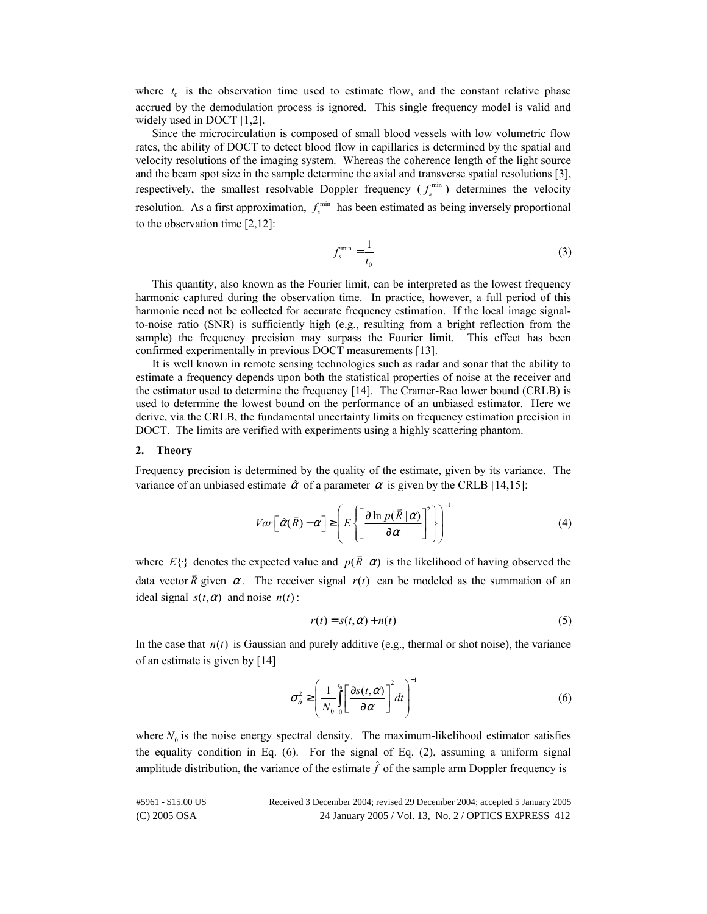where  $t_0$  is the observation time used to estimate flow, and the constant relative phase accrued by the demodulation process is ignored. This single frequency model is valid and widely used in DOCT [1,2].

Since the microcirculation is composed of small blood vessels with low volumetric flow rates, the ability of DOCT to detect blood flow in capillaries is determined by the spatial and velocity resolutions of the imaging system. Whereas the coherence length of the light source and the beam spot size in the sample determine the axial and transverse spatial resolutions [3], respectively, the smallest resolvable Doppler frequency  $(f_s^{\min})$  determines the velocity resolution. As a first approximation,  $f_s^{\text{min}}$  has been estimated as being inversely proportional to the observation time [2,12]:

$$
f_s^{\min} = \frac{1}{t_0} \tag{3}
$$

This quantity, also known as the Fourier limit, can be interpreted as the lowest frequency harmonic captured during the observation time. In practice, however, a full period of this harmonic need not be collected for accurate frequency estimation. If the local image signalto-noise ratio (SNR) is sufficiently high (e.g., resulting from a bright reflection from the sample) the frequency precision may surpass the Fourier limit. This effect has been confirmed experimentally in previous DOCT measurements [13].

It is well known in remote sensing technologies such as radar and sonar that the ability to estimate a frequency depends upon both the statistical properties of noise at the receiver and the estimator used to determine the frequency [14]. The Cramer-Rao lower bound (CRLB) is used to determine the lowest bound on the performance of an unbiased estimator. Here we derive, via the CRLB, the fundamental uncertainty limits on frequency estimation precision in DOCT. The limits are verified with experiments using a highly scattering phantom.

#### **2. Theory**

Frequency precision is determined by the quality of the estimate, given by its variance. The variance of an unbiased estimate  $\hat{\alpha}$  of a parameter  $\alpha$  is given by the CRLB [14,15]:

$$
Var\left[\hat{\alpha}(\bar{R}) - \alpha\right] \ge \left(E\left\{\left[\frac{\partial \ln p(\bar{R} \mid \alpha)}{\partial \alpha}\right]^2\right\}\right)^{-1}
$$
(4)

where  $E\{\cdot\}$  denotes the expected value and  $p(\overline{R}|\alpha)$  is the likelihood of having observed the data vector  $\overline{R}$  given  $\alpha$ . The receiver signal  $r(t)$  can be modeled as the summation of an ideal signal  $s(t, \alpha)$  and noise  $n(t)$ :

$$
r(t) = s(t, \alpha) + n(t) \tag{5}
$$

In the case that  $n(t)$  is Gaussian and purely additive (e.g., thermal or shot noise), the variance of an estimate is given by [14]

$$
\sigma_{\hat{\alpha}}^2 \ge \left(\frac{1}{N_0} \int_0^{t_0} \left[\frac{\partial s(t,\alpha)}{\partial \alpha}\right]^2 dt\right)^{-1}
$$
(6)

where  $N_0$  is the noise energy spectral density. The maximum-likelihood estimator satisfies the equality condition in Eq. (6). For the signal of Eq. (2), assuming a uniform signal amplitude distribution, the variance of the estimate  $\hat{f}$  of the sample arm Doppler frequency is

(C) 2005 OSA 24 January 2005 / Vol. 13, No. 2 / OPTICS EXPRESS 412 #5961 - \$15.00 US Received 3 December 2004; revised 29 December 2004; accepted 5 January 2005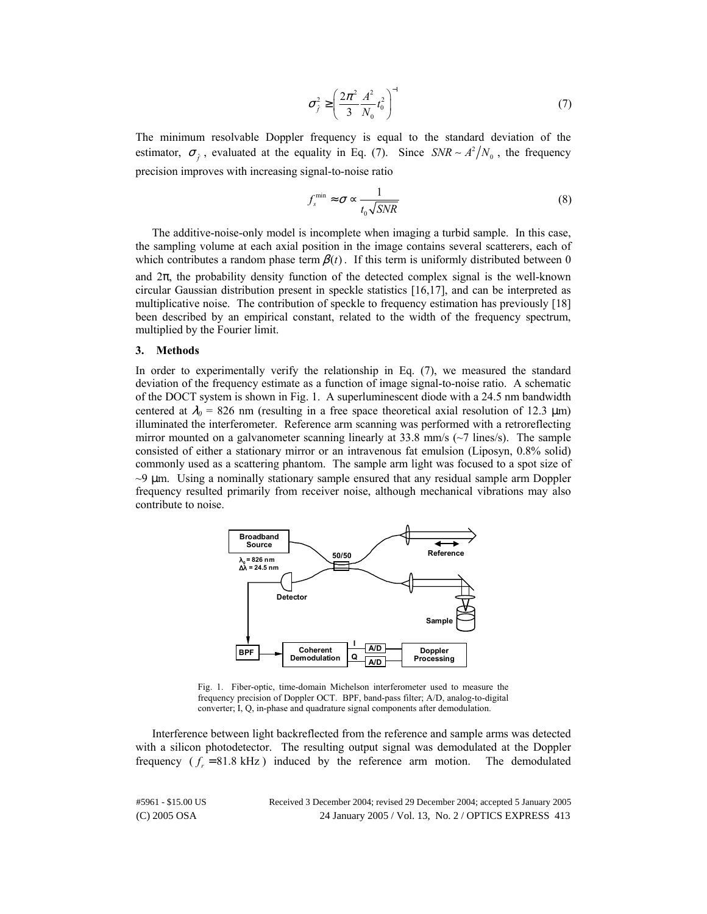$$
\sigma_{\hat{f}}^2 \ge \left(\frac{2\pi^2}{3} \frac{A^2}{N_0} t_0^2\right)^{-1}
$$
 (7)

The minimum resolvable Doppler frequency is equal to the standard deviation of the estimator,  $\sigma_{\hat{f}}$ , evaluated at the equality in Eq. (7). Since  $SNR \sim A^2/N_0$ , the frequency precision improves with increasing signal-to-noise ratio

$$
f_s^{\min} \approx \sigma \propto \frac{1}{t_0 \sqrt{SNR}}
$$
 (8)

The additive-noise-only model is incomplete when imaging a turbid sample. In this case, the sampling volume at each axial position in the image contains several scatterers, each of which contributes a random phase term  $\beta(t)$ . If this term is uniformly distributed between 0 and  $2\pi$ , the probability density function of the detected complex signal is the well-known circular Gaussian distribution present in speckle statistics [16,17], and can be interpreted as multiplicative noise. The contribution of speckle to frequency estimation has previously [18] been described by an empirical constant, related to the width of the frequency spectrum, multiplied by the Fourier limit.

#### **3. Methods**

In order to experimentally verify the relationship in Eq. (7), we measured the standard deviation of the frequency estimate as a function of image signal-to-noise ratio. A schematic of the DOCT system is shown in Fig. 1. A superluminescent diode with a 24.5 nm bandwidth centered at  $\lambda_0$  = 826 nm (resulting in a free space theoretical axial resolution of 12.3  $\mu$ m) illuminated the interferometer. Reference arm scanning was performed with a retroreflecting mirror mounted on a galvanometer scanning linearly at  $33.8$  mm/s ( $\sim$ 7 lines/s). The sample consisted of either a stationary mirror or an intravenous fat emulsion (Liposyn, 0.8% solid) commonly used as a scattering phantom. The sample arm light was focused to a spot size of  $\sim$ 9  $\mu$ m. Using a nominally stationary sample ensured that any residual sample arm Doppler frequency resulted primarily from receiver noise, although mechanical vibrations may also contribute to noise.



Fig. 1. Fiber-optic, time-domain Michelson interferometer used to measure the frequency precision of Doppler OCT. BPF, band-pass filter; A/D, analog-to-digital converter; I, Q, in-phase and quadrature signal components after demodulation.

Interference between light backreflected from the reference and sample arms was detected with a silicon photodetector. The resulting output signal was demodulated at the Doppler frequency  $(f_r = 81.8 \text{ kHz})$  induced by the reference arm motion. The demodulated

(C) 2005 OSA 24 January 2005 / Vol. 13, No. 2 / OPTICS EXPRESS 413 #5961 - \$15.00 US Received 3 December 2004; revised 29 December 2004; accepted 5 January 2005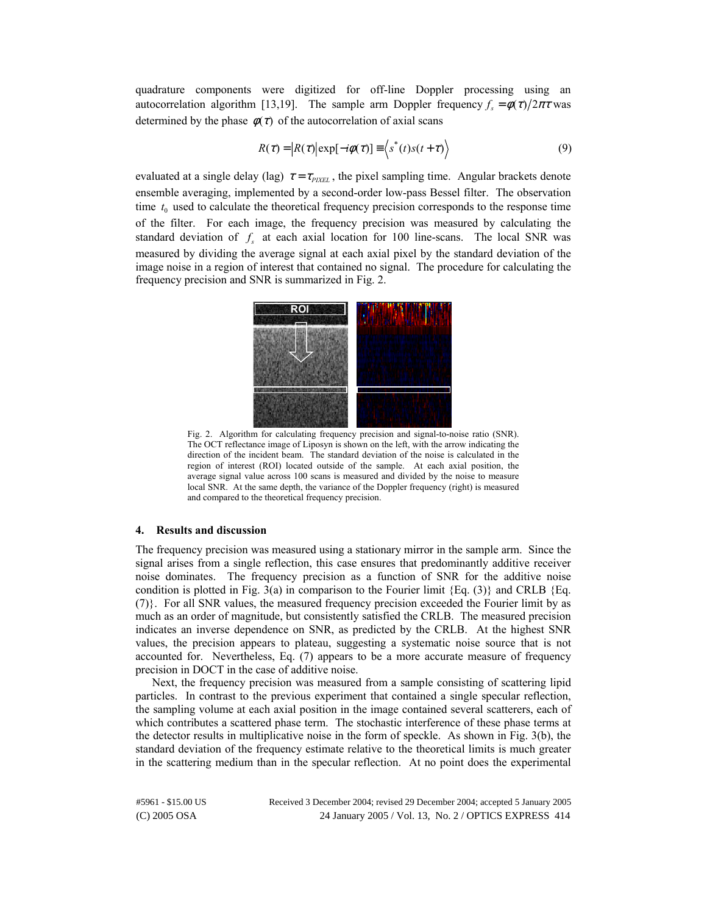quadrature components were digitized for off-line Doppler processing using an autocorrelation algorithm [13,19]. The sample arm Doppler frequency  $f_s = \phi(\tau)/2\pi\tau$  was determined by the phase  $\phi(\tau)$  of the autocorrelation of axial scans

$$
R(\tau) = |R(\tau)| \exp[-i\phi(\tau)] \equiv \langle s^*(t)s(t+\tau) \rangle \tag{9}
$$

evaluated at a single delay (lag)  $\tau = \tau_{\text{PIXEL}}$ , the pixel sampling time. Angular brackets denote ensemble averaging, implemented by a second-order low-pass Bessel filter. The observation time  $t_0$  used to calculate the theoretical frequency precision corresponds to the response time of the filter. For each image, the frequency precision was measured by calculating the standard deviation of  $f<sub>s</sub>$  at each axial location for 100 line-scans. The local SNR was measured by dividing the average signal at each axial pixel by the standard deviation of the image noise in a region of interest that contained no signal. The procedure for calculating the frequency precision and SNR is summarized in Fig. 2.



Fig. 2. Algorithm for calculating frequency precision and signal-to-noise ratio (SNR). The OCT reflectance image of Liposyn is shown on the left, with the arrow indicating the direction of the incident beam. The standard deviation of the noise is calculated in the region of interest (ROI) located outside of the sample. At each axial position, the average signal value across 100 scans is measured and divided by the noise to measure local SNR. At the same depth, the variance of the Doppler frequency (right) is measured and compared to the theoretical frequency precision.

### **4. Results and discussion**

The frequency precision was measured using a stationary mirror in the sample arm. Since the signal arises from a single reflection, this case ensures that predominantly additive receiver noise dominates. The frequency precision as a function of SNR for the additive noise condition is plotted in Fig. 3(a) in comparison to the Fourier limit  ${Eq. (3)}$  and CRLB  ${Eq. }$ (7)}. For all SNR values, the measured frequency precision exceeded the Fourier limit by as much as an order of magnitude, but consistently satisfied the CRLB. The measured precision indicates an inverse dependence on SNR, as predicted by the CRLB. At the highest SNR values, the precision appears to plateau, suggesting a systematic noise source that is not accounted for. Nevertheless, Eq. (7) appears to be a more accurate measure of frequency precision in DOCT in the case of additive noise.

Next, the frequency precision was measured from a sample consisting of scattering lipid particles. In contrast to the previous experiment that contained a single specular reflection, the sampling volume at each axial position in the image contained several scatterers, each of which contributes a scattered phase term. The stochastic interference of these phase terms at the detector results in multiplicative noise in the form of speckle. As shown in Fig. 3(b), the standard deviation of the frequency estimate relative to the theoretical limits is much greater in the scattering medium than in the specular reflection. At no point does the experimental

(C) 2005 OSA 24 January 2005 / Vol. 13, No. 2 / OPTICS EXPRESS 414 #5961 - \$15.00 US Received 3 December 2004; revised 29 December 2004; accepted 5 January 2005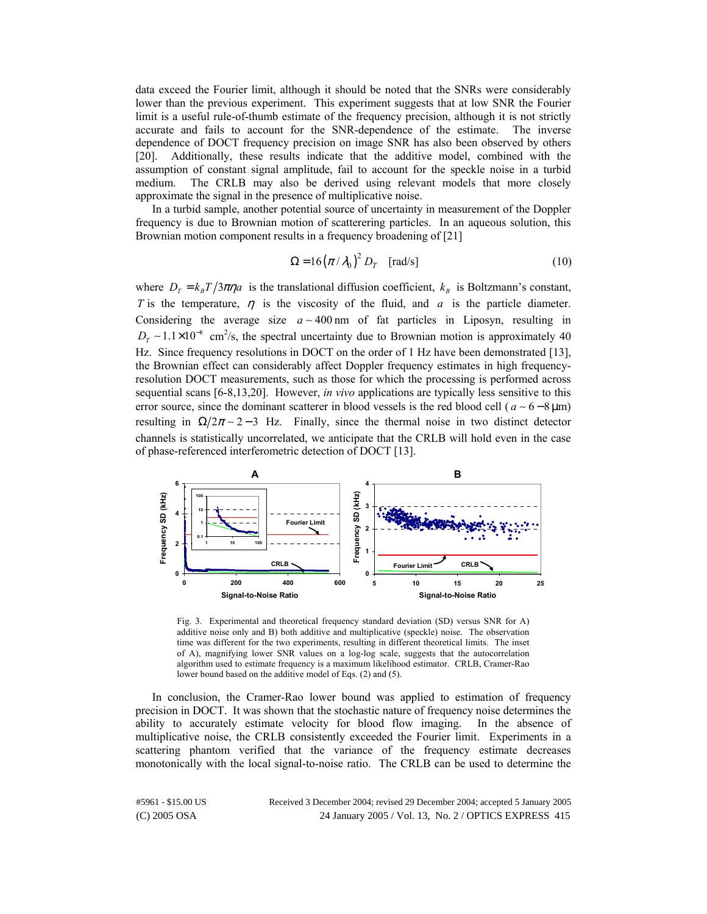data exceed the Fourier limit, although it should be noted that the SNRs were considerably lower than the previous experiment. This experiment suggests that at low SNR the Fourier limit is a useful rule-of-thumb estimate of the frequency precision, although it is not strictly accurate and fails to account for the SNR-dependence of the estimate. The inverse dependence of DOCT frequency precision on image SNR has also been observed by others [20]. Additionally, these results indicate that the additive model, combined with the assumption of constant signal amplitude, fail to account for the speckle noise in a turbid medium. The CRLB may also be derived using relevant models that more closely approximate the signal in the presence of multiplicative noise.

In a turbid sample, another potential source of uncertainty in measurement of the Doppler frequency is due to Brownian motion of scatterering particles. In an aqueous solution, this Brownian motion component results in a frequency broadening of [21]

$$
\Omega = 16 \left( \pi / \lambda_0 \right)^2 D_T \quad \text{[rad/s]}
$$
 (10)

where  $D_T = k_B T / 3\pi\eta a$  is the translational diffusion coefficient,  $k_B$  is Boltzmann's constant, *T* is the temperature,  $\eta$  is the viscosity of the fluid, and *a* is the particle diameter. Considering the average size *a* ∼ 400 nm of fat particles in Liposyn, resulting in  $D_T \sim 1.1 \times 10^{-8}$  cm<sup>2</sup>/s, the spectral uncertainty due to Brownian motion is approximately 40 Hz. Since frequency resolutions in DOCT on the order of 1 Hz have been demonstrated [13], the Brownian effect can considerably affect Doppler frequency estimates in high frequencyresolution DOCT measurements, such as those for which the processing is performed across sequential scans [6-8,13,20]. However, *in vivo* applications are typically less sensitive to this error source, since the dominant scatterer in blood vessels is the red blood cell ( $a \sim 6 - 8 \,\mu m$ ) resulting in  $\Omega/2\pi \sim 2-3$  Hz. Finally, since the thermal noise in two distinct detector channels is statistically uncorrelated, we anticipate that the CRLB will hold even in the case of phase-referenced interferometric detection of DOCT [13].



Fig. 3. Experimental and theoretical frequency standard deviation (SD) versus SNR for A) additive noise only and B) both additive and multiplicative (speckle) noise. The observation time was different for the two experiments, resulting in different theoretical limits. The inset of A), magnifying lower SNR values on a log-log scale, suggests that the autocorrelation algorithm used to estimate frequency is a maximum likelihood estimator. CRLB, Cramer-Rao lower bound based on the additive model of Eqs. (2) and (5).

In conclusion, the Cramer-Rao lower bound was applied to estimation of frequency precision in DOCT. It was shown that the stochastic nature of frequency noise determines the ability to accurately estimate velocity for blood flow imaging. In the absence of multiplicative noise, the CRLB consistently exceeded the Fourier limit. Experiments in a scattering phantom verified that the variance of the frequency estimate decreases monotonically with the local signal-to-noise ratio. The CRLB can be used to determine the

(C) 2005 OSA 24 January 2005 / Vol. 13, No. 2 / OPTICS EXPRESS 415 #5961 - \$15.00 US Received 3 December 2004; revised 29 December 2004; accepted 5 January 2005